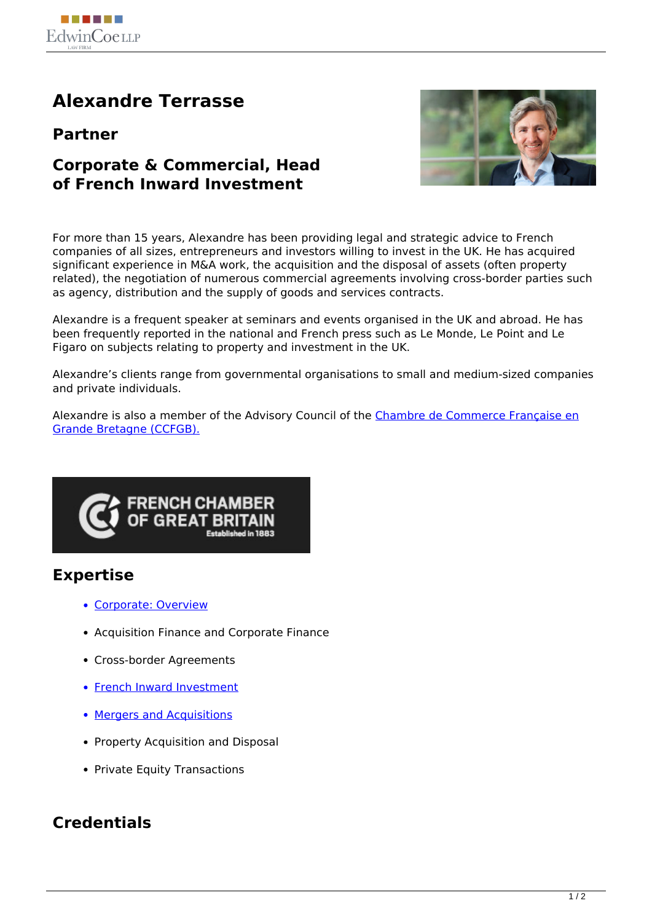

# **Alexandre Terrasse**

**Partner**

### **Corporate & Commercial, Head of French Inward Investment**



For more than 15 years, Alexandre has been providing legal and strategic advice to French companies of all sizes, entrepreneurs and investors willing to invest in the UK. He has acquired significant experience in M&A work, the acquisition and the disposal of assets (often property related), the negotiation of numerous commercial agreements involving cross-border parties such as agency, distribution and the supply of goods and services contracts.

Alexandre is a frequent speaker at seminars and events organised in the UK and abroad. He has been frequently reported in the national and French press such as Le Monde, Le Point and Le Figaro on subjects relating to property and investment in the UK.

Alexandre's clients range from governmental organisations to small and medium-sized companies and private individuals.

Alexandre is also a member of the Advisory Council of the [Chambre de Commerce Française en](http://www.ccfgb.co.uk/) [Grande Bretagne \(CCFGB\).](http://www.ccfgb.co.uk/)



## **Expertise**

- Corporate: Overview
- Acquisition Finance and Corporate Finance
- Cross-border Agreements
- French Inward Investment
- Mergers and Acquisitions
- Property Acquisition and Disposal
- Private Equity Transactions

## **Credentials**